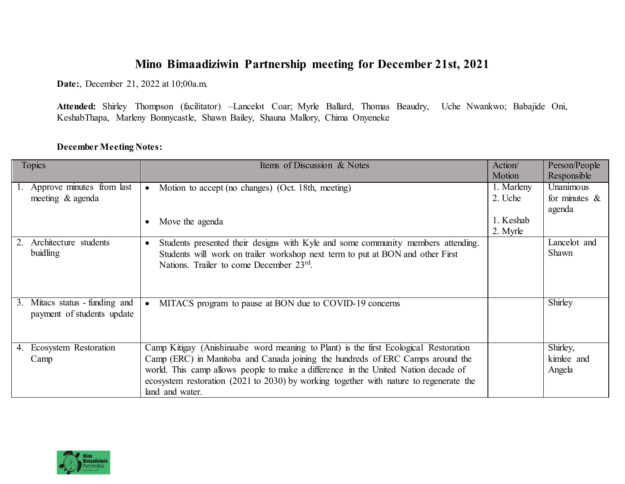## **Mino Bimaadiziwin Partnership meeting for December 21st, 2021**

**Date:**, December 21, 2022 at 10;00a.m.

**Attended:** Shirley Thompson (facilitator) –Lancelot Coar; Myrle Ballard, Thomas Beaudry, Uche Nwankwo; Babajide Oni, KeshabThapa, Marleny Bonnycastle, Shawn Bailey, Shauna Mallory, Chima Onyeneke

## **December Meeting Notes:**

| Topics                                                          | Items of Discussion & Notes                                                                                                                                                                                                                                                                                                                                               | Action/<br>Motion     | Person/People<br>Responsible            |
|-----------------------------------------------------------------|---------------------------------------------------------------------------------------------------------------------------------------------------------------------------------------------------------------------------------------------------------------------------------------------------------------------------------------------------------------------------|-----------------------|-----------------------------------------|
| Approve minutes from last<br>meeting & agenda                   | Motion to accept (no changes) (Oct. 18th, meeting)<br>$\bullet$                                                                                                                                                                                                                                                                                                           | 1. Marleny<br>2. Uche | Unanimous<br>for minutes $\&$<br>agenda |
|                                                                 | Move the agenda                                                                                                                                                                                                                                                                                                                                                           | 1. Keshab<br>2. Myrle |                                         |
| Architecture students<br>2.<br>buidling                         | Students presented their designs with Kyle and some community members attending.<br>$\bullet$<br>Students will work on trailer workshop next term to put at BON and other First<br>Nations. Trailer to come December 23rd.                                                                                                                                                |                       | Lancelot and<br>Shawn                   |
| Mitacs status - funding and<br>3.<br>payment of students update | MITACS program to pause at BON due to COVID-19 concerns                                                                                                                                                                                                                                                                                                                   |                       | Shirley                                 |
| Ecosystem Restoration<br>4.<br>Camp                             | Camp Kitigay (Anishinaabe word meaning to Plant) is the first Ecological Restoration<br>Camp (ERC) in Manitoba and Canada joining the hundreds of ERC Camps around the<br>world. This camp allows people to make a difference in the United Nation decade of<br>ecosystem restoration (2021 to 2030) by working together with nature to regenerate the<br>land and water. |                       | Shirley,<br>kimlee and<br>Angela        |